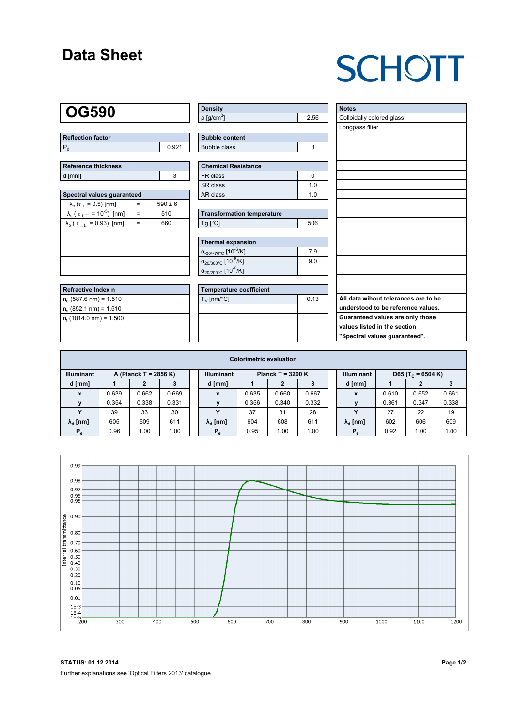### **Data Sheet**

# **SCHOTT**

### **OG590**

| Reflection factor |  |
|-------------------|--|
|                   |  |

| Reference thickness |  |  |  |  |  |  |  |
|---------------------|--|--|--|--|--|--|--|
| d [mm]              |  |  |  |  |  |  |  |

| Spectral values quaranteed                                     |     |             |  |  |  |  |  |  |  |  |
|----------------------------------------------------------------|-----|-------------|--|--|--|--|--|--|--|--|
| $\lambda_c$ ( $\tau_i$ = 0.5) [nm]                             |     | $590 \pm 6$ |  |  |  |  |  |  |  |  |
| $\lambda_{\rm s}$ ( $\tau_{\rm i,U}$ = 10 <sup>-5</sup> ) [nm] | $=$ | 510         |  |  |  |  |  |  |  |  |
| $\lambda_{\rm p}$ ( $\tau_{\rm i, L}$ = 0.93) [nm]             |     | 660         |  |  |  |  |  |  |  |  |
|                                                                |     |             |  |  |  |  |  |  |  |  |
|                                                                |     |             |  |  |  |  |  |  |  |  |
|                                                                |     |             |  |  |  |  |  |  |  |  |
|                                                                |     |             |  |  |  |  |  |  |  |  |
|                                                                |     |             |  |  |  |  |  |  |  |  |

| Refractive Index n              |  |
|---------------------------------|--|
| $n_{d}$ (587.6 nm) = 1.510      |  |
| $n_s$ (852.1 nm) = 1.510        |  |
| $n_{\rm t}$ (1014.0 nm) = 1.500 |  |
|                                 |  |

| <b>Density</b>              |     |
|-----------------------------|-----|
| $\rho$ [g/cm <sup>3</sup> ] | -56 |

| <b>Bubble content</b> |  |
|-----------------------|--|
| Bubble class          |  |

| <b>Chemical Resistance</b> |     |  |  |  |  |  |
|----------------------------|-----|--|--|--|--|--|
| FR class                   |     |  |  |  |  |  |
| SR class                   | 1 በ |  |  |  |  |  |
| AR class                   | 1 በ |  |  |  |  |  |

| <b>Transformation temperature</b> |     |  |  |  |  |  |
|-----------------------------------|-----|--|--|--|--|--|
| $Tg$ [ $^{\circ}$ C]              | 506 |  |  |  |  |  |

| Thermal expansion                                 |     |  |  |  |  |  |  |
|---------------------------------------------------|-----|--|--|--|--|--|--|
| $\alpha_{-30/+70\degree}$ c [10 <sup>-6</sup> /K] | 7.9 |  |  |  |  |  |  |
| $\alpha_{20/300^{\circ}C}$ [10 <sup>-6</sup> /K]  | 9.0 |  |  |  |  |  |  |
| $\alpha_{20/200^{\circ}C}$ [10 <sup>-6</sup> /K]  |     |  |  |  |  |  |  |

| Temperature coefficient |      |  |  |  |  |  |  |
|-------------------------|------|--|--|--|--|--|--|
| $T_K$ [nm/°C]           | 0.13 |  |  |  |  |  |  |
|                         |      |  |  |  |  |  |  |
|                         |      |  |  |  |  |  |  |
|                         |      |  |  |  |  |  |  |
|                         |      |  |  |  |  |  |  |

| <b>Notes</b>                         |
|--------------------------------------|
| Colloidally colored glass            |
| Longpass filter                      |
|                                      |
|                                      |
|                                      |
|                                      |
|                                      |
|                                      |
|                                      |
|                                      |
|                                      |
|                                      |
|                                      |
|                                      |
|                                      |
|                                      |
|                                      |
|                                      |
|                                      |
| All data wihout tolerances are to be |
| understood to be reference values.   |
| Guaranteed values are only those     |
| values listed in the section         |
| "Spectral values guaranteed".        |

| <b>Colorimetric evaluation</b>             |       |       |       |                                          |                        |       |          |       |                   |                               |       |       |       |
|--------------------------------------------|-------|-------|-------|------------------------------------------|------------------------|-------|----------|-------|-------------------|-------------------------------|-------|-------|-------|
| <b>Illuminant</b><br>A (Planck T = 2856 K) |       |       |       | <b>Illuminant</b><br>Planck T = $3200 K$ |                        |       |          |       | <b>Illuminant</b> | D65 (T <sub>c</sub> = 6504 K) |       |       |       |
| d [mm]                                     |       |       |       |                                          | d [mm]                 |       |          | 3     |                   | d [mm]                        |       |       |       |
| X                                          | 0.639 | 0.662 | 0.669 |                                          | X                      | 0.635 | 0.660    | 0.667 |                   | X                             | 0.610 | 0.652 | 0.661 |
| v                                          | 0.354 | 0.338 | 0.331 |                                          |                        | 0.356 | 0.340    | 0.332 |                   |                               | 0.361 | 0.347 | 0.338 |
|                                            | 39    | 33    | 30    |                                          | v                      | 37    | 31       | 28    |                   |                               | 27    | 22    | 19    |
| $\lambda_{\rm d}$ [nm]                     | 605   | 609   | 611   |                                          | $\lambda_{\rm d}$ [nm] | 604   | 608      | 611   |                   | $\lambda_{\rm d}$ [nm]        | 602   | 606   | 609   |
| $P_e$                                      | 0.96  | 1.00  | 1.00  |                                          | $P_{\alpha}$           | 0.95  | $1.00 -$ | 1.00  |                   | $P_{\alpha}$                  | 0.92  | 1.00  | 1.00  |



**STATUS: 01.12.2014 Page 1/2** Further explanations see 'Optical Filters 2013' catalogue